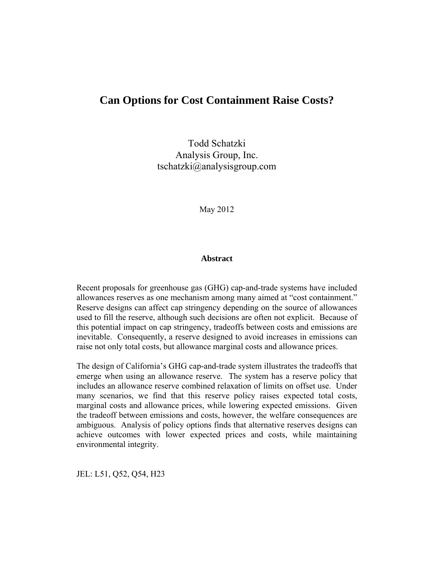# **Can Options for Cost Containment Raise Costs?**

Todd Schatzki Analysis Group, Inc. tschatzki@analysisgroup.com

May 2012

# **Abstract**

Recent proposals for greenhouse gas (GHG) cap-and-trade systems have included allowances reserves as one mechanism among many aimed at "cost containment." Reserve designs can affect cap stringency depending on the source of allowances used to fill the reserve, although such decisions are often not explicit. Because of this potential impact on cap stringency, tradeoffs between costs and emissions are inevitable. Consequently, a reserve designed to avoid increases in emissions can raise not only total costs, but allowance marginal costs and allowance prices.

The design of California's GHG cap-and-trade system illustrates the tradeoffs that emerge when using an allowance reserve. The system has a reserve policy that includes an allowance reserve combined relaxation of limits on offset use. Under many scenarios, we find that this reserve policy raises expected total costs, marginal costs and allowance prices, while lowering expected emissions. Given the tradeoff between emissions and costs, however, the welfare consequences are ambiguous. Analysis of policy options finds that alternative reserves designs can achieve outcomes with lower expected prices and costs, while maintaining environmental integrity.

JEL: L51, Q52, Q54, H23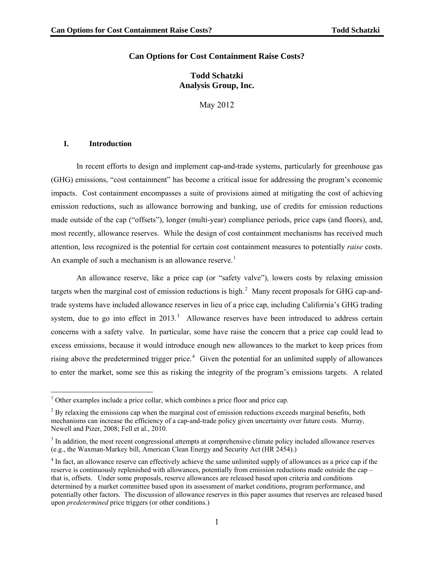# **Can Options for Cost Containment Raise Costs?**

# **Todd Schatzki Analysis Group, Inc.**

May 2012

#### **I. Introduction**

 $\overline{a}$ 

In recent efforts to design and implement cap-and-trade systems, particularly for greenhouse gas (GHG) emissions, "cost containment" has become a critical issue for addressing the program's economic impacts. Cost containment encompasses a suite of provisions aimed at mitigating the cost of achieving emission reductions, such as allowance borrowing and banking, use of credits for emission reductions made outside of the cap ("offsets"), longer (multi-year) compliance periods, price caps (and floors), and, most recently, allowance reserves. While the design of cost containment mechanisms has received much attention, less recognized is the potential for certain cost containment measures to potentially *raise* costs. An example of such a mechanism is an allowance reserve.<sup>[1](#page-1-0)</sup>

An allowance reserve, like a price cap (or "safety valve"), lowers costs by relaxing emission targets when the marginal cost of emission reductions is high. $<sup>2</sup>$  $<sup>2</sup>$  $<sup>2</sup>$  Many recent proposals for GHG cap-and-</sup> trade systems have included allowance reserves in lieu of a price cap, including California's GHG trading system, due to go into effect in  $2013$  $2013$ .<sup>3</sup> Allowance reserves have been introduced to address certain concerns with a safety valve. In particular, some have raise the concern that a price cap could lead to excess emissions, because it would introduce enough new allowances to the market to keep prices from rising above the predetermined trigger price.<sup>[4](#page-1-3)</sup> Given the potential for an unlimited supply of allowances to enter the market, some see this as risking the integrity of the program's emissions targets. A related

<span id="page-1-0"></span><sup>&</sup>lt;sup>1</sup> Other examples include a price collar, which combines a price floor and price cap.

<span id="page-1-1"></span> $2^{2}$  By relaxing the emissions cap when the marginal cost of emission reductions exceeds marginal benefits, both mechanisms can increase the efficiency of a cap-and-trade policy given uncertainty over future costs. Murray, Newell and Pizer, 2008; Fell et al., 2010.

<span id="page-1-2"></span> $3$  In addition, the most recent congressional attempts at comprehensive climate policy included allowance reserves (e.g., the Waxman-Markey bill, American Clean Energy and Security Act (HR 2454).)

<span id="page-1-3"></span><sup>&</sup>lt;sup>4</sup> In fact, an allowance reserve can effectively achieve the same unlimited supply of allowances as a price cap if the reserve is continuously replenished with allowances, potentially from emission reductions made outside the cap – that is, offsets. Under some proposals, reserve allowances are released based upon criteria and conditions determined by a market committee based upon its assessment of market conditions, program performance, and potentially other factors. The discussion of allowance reserves in this paper assumes that reserves are released based upon *predetermined* price triggers (or other conditions.)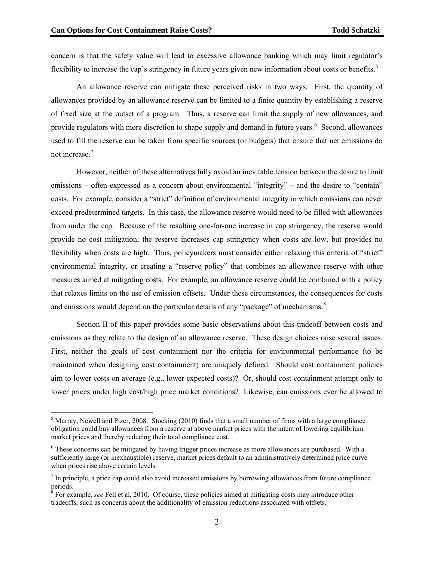$\overline{a}$ 

concern is that the safety value will lead to excessive allowance banking which may limit regulator's flexibility to increase the cap's stringency in future years given new information about costs or benefits.<sup>[5](#page-2-0)</sup>

An allowance reserve can mitigate these perceived risks in two ways. First, the quantity of allowances provided by an allowance reserve can be limited to a finite quantity by establishing a reserve of fixed size at the outset of a program. Thus, a reserve can limit the supply of new allowances, and provide regulators with more discretion to shape supply and demand in future years.<sup>[6](#page-2-1)</sup> Second, allowances used to fill the reserve can be taken from specific sources (or budgets) that ensure that net emissions do not increase.<sup>[7](#page-2-2)</sup>

However, neither of these alternatives fully avoid an inevitable tension between the desire to limit emissions – often expressed as a concern about environmental "integrity" – and the desire to "contain" costs. For example, consider a "strict" definition of environmental integrity in which emissions can never exceed predetermined targets. In this case, the allowance reserve would need to be filled with allowances from under the cap. Because of the resulting one-for-one increase in cap stringency, the reserve would provide no cost mitigation; the reserve increases cap stringency when costs are low, but provides no flexibility when costs are high. Thus, policymakers must consider either relaxing this criteria of "strict" environmental integrity, or creating a "reserve policy" that combines an allowance reserve with other measures aimed at mitigating costs. For example, an allowance reserve could be combined with a policy that relaxes limits on the use of emission offsets. Under these circumstances, the consequences for costs and emissions would depend on the particular details of any "package" of mechanisms. $8$ 

Section II of this paper provides some basic observations about this tradeoff between costs and emissions as they relate to the design of an allowance reserve. These design choices raise several issues. First, neither the goals of cost containment nor the criteria for environmental performance (to be maintained when designing cost containment) are uniquely defined. Should cost containment policies aim to lower costs on average (e.g., lower expected costs)? Or, should cost containment attempt only to lower prices under high cost/high price market conditions? Likewise, can emissions ever be allowed to

<span id="page-2-0"></span> $<sup>5</sup>$  Murray, Newell and Pizer, 2008. Stocking (2010) finds that a small number of firms with a large compliance</sup> obligation could buy allowances from a reserve at above market prices with the intent of lowering equilibrium market prices and thereby reducing their total compliance cost.

<span id="page-2-1"></span><sup>&</sup>lt;sup>6</sup> These concerns can be mitigated by having trigger prices increase as more allowances are purchased. With a sufficiently large (or inexhaustible) reserve, market prices default to an administratively determined price curve when prices rise above certain levels.

<span id="page-2-2"></span> $<sup>7</sup>$  In principle, a price cap could also avoid increased emissions by borrowing allowances from future compliance</sup> periods.

<span id="page-2-3"></span><sup>&</sup>lt;sup>8</sup> For example, *see* Fell et al, 2010. Of course, these policies aimed at mitigating costs may introduce other tradeoffs, such as concerns about the additionality of emission reductions associated with offsets.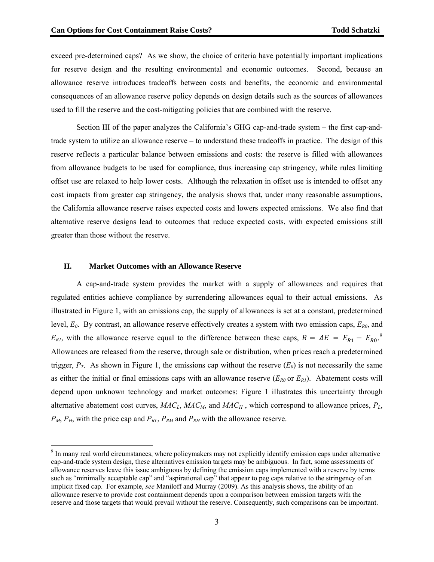exceed pre-determined caps? As we show, the choice of criteria have potentially important implications for reserve design and the resulting environmental and economic outcomes. Second, because an allowance reserve introduces tradeoffs between costs and benefits, the economic and environmental consequences of an allowance reserve policy depends on design details such as the sources of allowances used to fill the reserve and the cost-mitigating policies that are combined with the reserve.

Section III of the paper analyzes the California's GHG cap-and-trade system – the first cap-andtrade system to utilize an allowance reserve – to understand these tradeoffs in practice. The design of this reserve reflects a particular balance between emissions and costs: the reserve is filled with allowances from allowance budgets to be used for compliance, thus increasing cap stringency, while rules limiting offset use are relaxed to help lower costs. Although the relaxation in offset use is intended to offset any cost impacts from greater cap stringency, the analysis shows that, under many reasonable assumptions, the California allowance reserve raises expected costs and lowers expected emissions. We also find that alternative reserve designs lead to outcomes that reduce expected costs, with expected emissions still greater than those without the reserve.

#### **II. Market Outcomes with an Allowance Reserve**

A cap-and-trade system provides the market with a supply of allowances and requires that regulated entities achieve compliance by surrendering allowances equal to their actual emissions. As illustrated in Figure 1, with an emissions cap, the supply of allowances is set at a constant, predetermined level, *E0*. By contrast, an allowance reserve effectively creates a system with two emission caps, *ER0*, and  $E_{R1}$ , with the allowance reserve equal to the difference between these caps,  $R = \Delta E = E_{R1} - E_{R0}$ <sup>[9](#page-3-0)</sup> Allowances are released from the reserve, through sale or distribution, when prices reach a predetermined trigger,  $P_T$ . As shown in Figure 1, the emissions cap without the reserve  $(E_0)$  is not necessarily the same as either the initial or final emissions caps with an allowance reserve  $(E_{R0}$  or  $E_{R1})$ . Abatement costs will depend upon unknown technology and market outcomes: Figure 1 illustrates this uncertainty through alternative abatement cost curves,  $MAC<sub>L</sub>$ ,  $MAC<sub>M</sub>$ , and  $MAC<sub>H</sub>$ , which correspond to allowance prices,  $P<sub>L</sub>$ ,  $P_M$ ,  $P_H$ , with the price cap and  $P_{RL}$ ,  $P_{RM}$  and  $P_{RH}$  with the allowance reserve.

<span id="page-3-0"></span><sup>&</sup>lt;sup>9</sup> In many real world circumstances, where policymakers may not explicitly identify emission caps under alternative cap-and-trade system design, these alternatives emission targets may be ambiguous. In fact, some assessments of allowance reserves leave this issue ambiguous by defining the emission caps implemented with a reserve by terms such as "minimally acceptable cap" and "aspirational cap" that appear to peg caps relative to the stringency of an implicit fixed cap. For example, *see* Maniloff and Murray (2009). As this analysis shows, the ability of an allowance reserve to provide cost containment depends upon a comparison between emission targets with the reserve and those targets that would prevail without the reserve. Consequently, such comparisons can be important.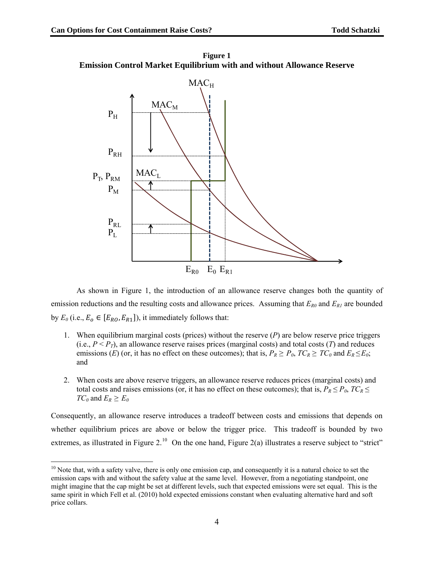$\overline{a}$ 

**Figure 1 Emission Control Market Equilibrium with and without Allowance Reserve** 



As shown in Figure 1, the introduction of an allowance reserve changes both the quantity of emission reductions and the resulting costs and allowance prices. Assuming that  $E_{R0}$  and  $E_{RI}$  are bounded by  $E_0$  (i.e.,  $E_0 \in [E_{RO}, E_{R1}]$ ), it immediately follows that:

- 1. When equilibrium marginal costs (prices) without the reserve (*P*) are below reserve price triggers (i.e.,  $P < P_T$ ), an allowance reserve raises prices (marginal costs) and total costs (*T*) and reduces emissions (*E*) (or, it has no effect on these outcomes); that is,  $P_R \ge P_0$ ,  $TC_R \ge TC_0$  and  $E_R \le E_0$ ; and
- 2. When costs are above reserve triggers, an allowance reserve reduces prices (marginal costs) and total costs and raises emissions (or, it has no effect on these outcomes); that is,  $P_R \le P_0$ ,  $TC_R \le$ *TC*<sup> $0$ </sup> and  $E_R \ge E_0$

Consequently, an allowance reserve introduces a tradeoff between costs and emissions that depends on whether equilibrium prices are above or below the trigger price. This tradeoff is bounded by two extremes, as illustrated in Figure 2.<sup>[10](#page-4-0)</sup> On the one hand, Figure 2(a) illustrates a reserve subject to "strict"

<span id="page-4-0"></span> $10$  Note that, with a safety valve, there is only one emission cap, and consequently it is a natural choice to set the emission caps with and without the safety value at the same level. However, from a negotiating standpoint, one might imagine that the cap might be set at different levels, such that expected emissions were set equal. This is the same spirit in which Fell et al. (2010) hold expected emissions constant when evaluating alternative hard and soft price collars.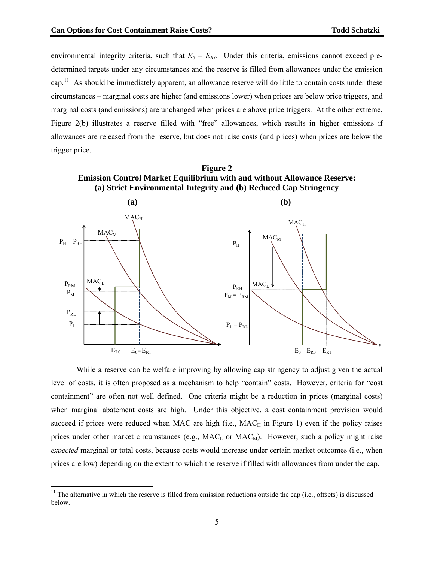environmental integrity criteria, such that  $E_0 = E_{RI}$ . Under this criteria, emissions cannot exceed predetermined targets under any circumstances and the reserve is filled from allowances under the emission cap.<sup>[11](#page-5-0)</sup> As should be immediately apparent, an allowance reserve will do little to contain costs under these circumstances – marginal costs are higher (and emissions lower) when prices are below price triggers, and marginal costs (and emissions) are unchanged when prices are above price triggers. At the other extreme, Figure 2(b) illustrates a reserve filled with "free" allowances, which results in higher emissions if allowances are released from the reserve, but does not raise costs (and prices) when prices are below the trigger price.





While a reserve can be welfare improving by allowing cap stringency to adjust given the actual level of costs, it is often proposed as a mechanism to help "contain" costs. However, criteria for "cost containment" are often not well defined. One criteria might be a reduction in prices (marginal costs) when marginal abatement costs are high. Under this objective, a cost containment provision would succeed if prices were reduced when MAC are high (i.e.,  $MAC_H$  in Figure 1) even if the policy raises prices under other market circumstances (e.g.,  $MAC<sub>L</sub>$  or  $MAC<sub>M</sub>$ ). However, such a policy might raise *expected* marginal or total costs, because costs would increase under certain market outcomes (i.e., when prices are low) depending on the extent to which the reserve if filled with allowances from under the cap.

<span id="page-5-0"></span> $11$  The alternative in which the reserve is filled from emission reductions outside the cap (i.e., offsets) is discussed below.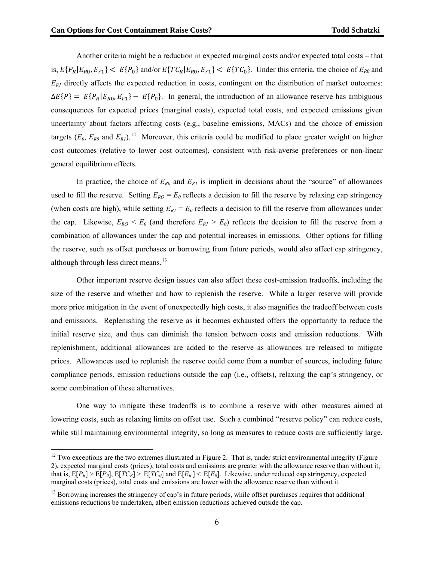$\overline{a}$ 

Another criteria might be a reduction in expected marginal costs and/or expected total costs – that is,  $E\{P_R|E_{R0}, E_{r1}\} < E\{P_0\}$  and/or  $E\{TC_R|E_{R0}, E_{r1}\} < E\{TC_0\}$ . Under this criteria, the choice of  $E_{R0}$  and  $E<sub>RI</sub>$  directly affects the expected reduction in costs, contingent on the distribution of market outcomes:  $\Delta E\{P\} = E\{P_R | E_{R0}, E_{r1}\} - E\{P_0\}$ . In general, the introduction of an allowance reserve has ambiguous consequences for expected prices (marginal costs), expected total costs, and expected emissions given uncertainty about factors affecting costs (e.g., baseline emissions, MACs) and the choice of emission targets  $(E_0, E_{R0}$  and  $E_{R1})$ .<sup>12</sup> Moreover, this criteria could be modified to place greater weight on higher cost outcomes (relative to lower cost outcomes), consistent with risk-averse preferences or non-linear general equilibrium effects.

In practice, the choice of  $E_{R0}$  and  $E_{RI}$  is implicit in decisions about the "source" of allowances used to fill the reserve. Setting  $E_{RO} = E_0$  reflects a decision to fill the reserve by relaxing cap stringency (when costs are high), while setting  $E_{RI} = E_0$  reflects a decision to fill the reserve from allowances under the cap. Likewise,  $E_{RO} < E_0$  (and therefore  $E_{RI} > E_0$ ) reflects the decision to fill the reserve from a combination of allowances under the cap and potential increases in emissions. Other options for filling the reserve, such as offset purchases or borrowing from future periods, would also affect cap stringency, although through less direct means. $13$ 

Other important reserve design issues can also affect these cost-emission tradeoffs, including the size of the reserve and whether and how to replenish the reserve. While a larger reserve will provide more price mitigation in the event of unexpectedly high costs, it also magnifies the tradeoff between costs and emissions. Replenishing the reserve as it becomes exhausted offers the opportunity to reduce the initial reserve size, and thus can diminish the tension between costs and emission reductions. With replenish ment, additional allowances are added to the reserve as allowances are released to mitigate prices. Allowances used to replenish the reserve could come from a number of sources, including future compliance periods, emission reductions outside the cap (i.e., offsets), relaxing the cap's stringency, or some combination of these alternatives.

One way to mitigate these tradeoffs is to combine a reserve with other measures aimed at lowering costs, such as relaxing limits on offset use. Such a combined "reserve policy" can reduce costs, while still maintaining environmental integrity, so long as measures to reduce costs are sufficiently large.

 $12$  Two exceptions are the two extremes illustrated in Figure 2. That is, under strict environmental integrity (Figure 2), expected marginal costs (prices), total costs and emissions are greater with the allowance reserve than without it; that is,  $E[P_R] > E[P_0]$ ,  $E[TC_R] > E[TC_0]$  and  $E[E_R] < E[E_0]$ . Likewise, under reduced cap stringency, expected marginal costs (prices), total costs and emissions are lower with the allowance reserve than without it.

emissions reductions be undertaken, albeit emission reductions achieved outside the cap. <sup>13</sup> Borrowing increases the stringency of cap's in future periods, while offset purchases requires that additional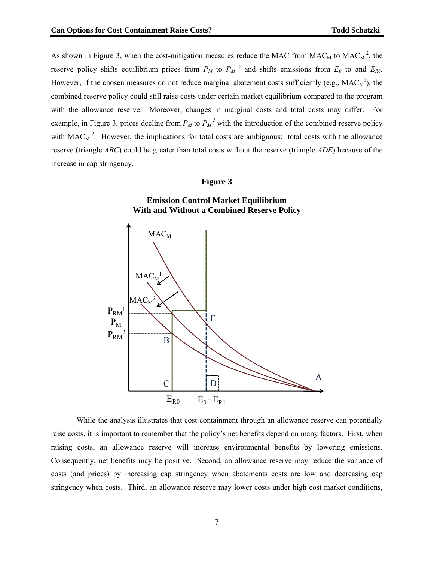As shown in Figure 3, when the cost-mitigation measures reduce the MAC from  $MAC_M$  to  $MAC_M^2$ , the reserve policy shifts equilibrium prices from  $P_M$  to  $P_M^2$  and shifts emissions from  $E_0$  to and  $E_{R0}$ . However, if the chosen measures do not reduce marginal abatement costs sufficiently (e.g.,  $MAC<sub>M</sub><sup>1</sup>$ ), the combined reserve policy could still raise costs under certain market equilibrium compared to the program with the allowance reserve. Moreover, changes in marginal costs and total costs may differ. For example, in Figure 3, prices decline from  $P_M$  to  $P_M^2$  with the introduction of the combined reserve policy with  $MAC_M^2$ . However, the implications for total costs are ambiguous: total costs with the allowance reserve (triangle *ABC*) could be greater than total costs without the reserve (triangle *ADE*) because of the increase in cap stringency.

### **Figure 3**



raising costs, an allowance reserve will increase environmental benefits by lowering emissions. costs (and prices) by increasing cap stringency when abatements costs are low and decreasing cap While the analysis illustrates that cost containment through an allowance reserve can potentially raise costs, it is important to remember that the policy's net benefits depend on many factors. First, when Consequently, net benefits may be positive. Second, an allowance reserve may reduce the variance of stringency when costs. Third, an allowance reserve may lower costs under high cost market conditions,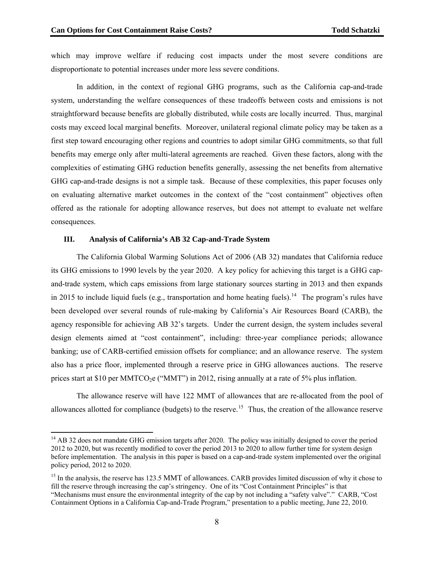which may improve welfare if reducing cost impacts under the most severe conditions are disproportionate to potential increases under more less severe conditions.

In addition, in the context of regional GHG programs, such as the California cap-and-trade system, understanding the welfare consequences of these tradeoffs between costs and emissions is not straightforward because benefits are globally distributed, while costs are locally incurred. Thus, marginal costs may exceed local marginal benefits. Moreover, unilateral regional climate policy may be taken as a first step toward encouraging other regions and countries to adopt similar GHG commitments, so that full benefits may emerge only after multi-lateral agreements are reached. Given these factors, along with the complexities of estimating GHG reduction benefits generally, assessing the net benefits from alternative GHG cap-and-trade designs is not a simple task. Because of these complexities, this paper focuses only on evaluating alternative market outcomes in the context of the "cost containment" objectives often offered as the rationale for adopting allowance reserves, but does not attempt to evaluate net welfare consequences.

#### **III. Analysis of California's AB 32 Cap-and-Trade System**

 $\overline{a}$ 

The California Global Warming Solutions Act of 2006 (AB 32) mandates that California reduce its GHG emissions to 1990 levels by the year 2020. A key policy for achieving this target is a GHG capand-trade system, which caps emissions from large stationary sources starting in 2013 and then expands in 2015 to include liquid fuels (e.g., transportation and home heating fuels).<sup>14</sup> The program's rules have been developed over several rounds of rule-making by California's Air Resources Board (CARB), the agency responsible for achieving AB 32's targets. Under the current design, the system includes several design elements aimed at "cost containment", including: three-year compliance periods; allowance banking; use of CARB-certified emission offsets for compliance; and an allowance reserve. The system also has a price floor, implemented through a reserve price in GHG allowances auctions. The reserve prices start at \$10 per MMTCO<sub>2</sub>e ("MMT") in 2012, rising annually at a rate of 5% plus inflation.

The allowance reserve will have 122 MMT of allowances that are re-allocated from the pool of allowances allotted for compliance (budgets) to the reserve.<sup>15</sup> Thus, the creation of the allowance reserve

<sup>&</sup>lt;sup>14</sup> AB 32 does not mandate GHG emission targets after 2020. The policy was initially designed to cover the period 2012 to 2020, but was recently modified to cover the period 2013 to 2020 to allow further time for system design before implementation. The analysis in this paper is based on a cap-and-trade system implemented over the original policy period, 2012 to 2020.

<span id="page-8-0"></span><sup>&</sup>lt;sup>15</sup> In the analysis, the reserve has 123.5 MMT of allowances. CARB provides limited discussion of why it chose to fill the r eserve through increasing the cap's stringency. One of its "Cost Containment Principles" is that "Mechan isms must ensure the environmental integrity of the cap by not including a "safety valve"." CARB, "Cost Containment Options in a California Cap-and-Trade Program," presentation to a public meeting, June 22, 2010.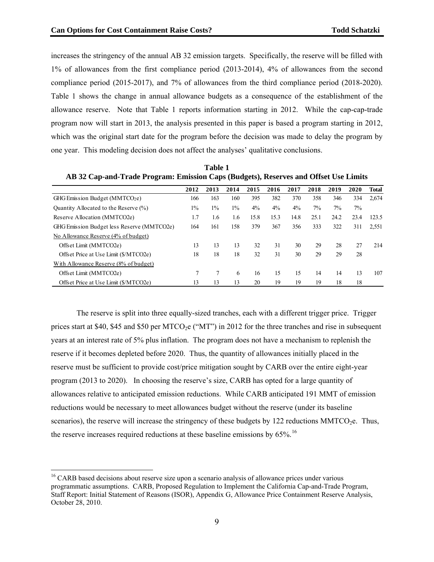increases the stringency of the annual AB 32 emission targets. Specifically, the reserve will be filled with 1% of allowances from the first compliance period (2013-2014), 4% of allowances from the second compliance period (2015-2017), and 7% of allowances from the third compliance period (2018-2020). Table 1 shows the change in annual allowance budgets as a consequence of the establishment of the allowance reserve. Note that Table 1 reports information starting in 2012. While the cap-cap-trade program now will start in 2013, the analysis presented in this paper is based a program starting in 2012, which was the original start date for the program before the decision was made to delay the program by one year. This modeling decision does not affect the analyses' qualitative conclusions.

| AB 32 Cap-and-Trade Program: Emission Caps (Budgets), Reserves and Offset Use Limits |       |       |       |       |       |       |       |       |       |              |
|--------------------------------------------------------------------------------------|-------|-------|-------|-------|-------|-------|-------|-------|-------|--------------|
|                                                                                      | 2012  | 2013  | 2014  | 2015  | 2016  | 2017  | 2018  | 2019  | 2020  | <b>Total</b> |
| GHG Emission Budget (MMTCO2e)                                                        | 166   | 163   | 160   | 395   | 382   | 370   | 358   | 346   | 334   | 2,674        |
| Quantity Allocated to the Reserve (%)                                                | $1\%$ | $1\%$ | $1\%$ | $4\%$ | $4\%$ | $4\%$ | $7\%$ | $7\%$ | $7\%$ |              |
| Reserve Allocation (MMTCO2e)                                                         | 1.7   | 1.6   | 1.6   | 15.8  | 15.3  | 14.8  | 25.1  | 24.2  | 23.4  | 123.5        |
| GHG Emission Budget less Reserve (MMTCO2e)                                           | 164   | 161   | 158   | 379   | 367   | 356   | 333   | 322   | 311   | 2,551        |
| No Allowance Reserve (4% of budget)                                                  |       |       |       |       |       |       |       |       |       |              |
| Offset Limit (MMTCO2e)                                                               | 13    | 13    | 13    | 32    | 31    | 30    | 29    | 28    | 27    | 214          |
| Offset Price at Use Limit (\$/MTCO2e)                                                | 18    | 18    | 18    | 32    | 31    | 30    | 29    | 29    | 28    |              |
| With Allowance Reserve (8% of budget)                                                |       |       |       |       |       |       |       |       |       |              |
| Offset Limit (MMTCO2e)                                                               |       | 7     | 6     | 16    | 15    | 15    | 14    | 14    | 13    | 107          |
| Offset Price at Use Limit (\$/MTCO2e)                                                | 13    | 13    | 13    | 20    | 19    | 19    | 19    | 18    | 18    |              |

**Table 1** 

prices start at \$40, \$45 and \$50 per MTCO<sub>2</sub>e ("MT") in 2012 for the three tranches and rise in subsequent years at an interest rate of 5% plus inflation. The program does not have a mechanism to replenish the the reserve increases required reductions at these baseline emissions by  $65\%$ .<sup>16</sup> The reserve is split into three equally-sized tranches, each with a different trigger price. Trigger reserve if it becomes depleted before 2020. Thus, the quantity of allowances initially placed in the reserve must be sufficient to provide cost/price mitigation sought by CARB over the entire eight-year program (2013 to 2020). In choosing the reserve's size, CARB has opted for a large quantity of allowances relative to anticipated emission reductions. While CARB anticipated 191 MMT of emission reductions would be necessary to meet allowances budget without the reserve (under its baseline scenarios), the reserve will increase the stringency of these budgets by 122 reductions MMTCO<sub>2</sub>e. Thus,

 $\overline{a}$ 

<span id="page-9-0"></span>programmatic assumptions. CARB, Proposed Regulation to Implement the California Cap-and-Trade Program, <sup>16</sup> CARB based decisions about reserve size upon a scenario analysis of allowance prices under various Staff Report: Initial Statement of Reasons (ISOR), Appendix G, Allowance Price Containment Reserve Analysis, October 28, 2010.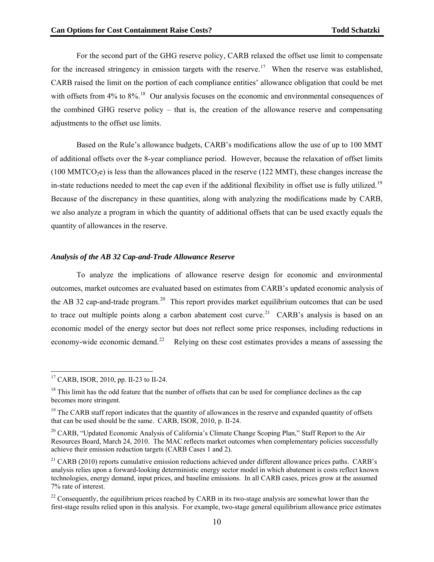For the second part of the GHG reserve policy, CARB relaxed the offset use limit to compensate for the increased stringency in emission targets with the reserve.<sup>[17](#page-8-0)</sup> When the reserve was established, CARB raised the limit on the portion of each compliance entities' allowance obligation that could be met with offsets from  $4\%$  to  $8\%$ .<sup>18</sup> Our analysis focuses on the economic and environmental consequences of the combined GHG reserve policy – that is, the creation of the allowance reserve and compensating adjustments to the offset use limits.

Based on the Rule's allowance budgets, CARB's modifications allow the use of up to 100 MMT of additional offsets over the 8-year compliance period. However, because the relaxation of offset limits  $(100 \text{ MMTCO}_2e)$  is less than the allowances placed in the reserve  $(122 \text{ MMT})$ , these changes increase the in-state reductions needed to meet the cap even if the additional flexibility in offset use is fully utilized.<sup>19</sup> Because of the discrepancy in these quantities, along with analyzing the modifications made by CARB, we also analyze a program in which the quantity of additional offsets that can be used exactly equals the quantity of allowances in the reserve.

### *Analysis of the AB 32 Cap-and-Trade Allowance Reserve*

To analyze the implications of allowance reserve design for economic and environmental outcomes, market outcomes are evaluated based on estimates from CARB's updated economic analysis of the AB 32 cap-and-trade program.<sup>[20](#page-9-0)</sup> This report provides market equilibrium outcomes that can be used to trace out multiple points along a carbon abatement cost curve.<sup>[21](#page-9-0)</sup> CARB's analysis is based on an economic model of the energy sector but does not reflect some price responses, including reductions in economy-wide economic demand.<sup>[22](#page-9-0)</sup> Relying on these cost estimates provides a means of assessing the

<sup>&</sup>lt;sup>17</sup> CARB, ISOR, 2010, pp. II-23 to II-24.

 $18$  This limit has the odd feature that the number of offsets that can be used for compliance declines as the cap becomes more stringent.

 $19$  The CARB staff report indicates that the quantity of allowances in the reserve and expanded quantity of offsets that can be used should be the same. CARB, ISOR, 2010, p. II-24.

<span id="page-10-0"></span><sup>&</sup>lt;sup>20</sup> CARB, "Updated Economic Analysis of California's Climate Change Scoping Plan," Staff Report to the Air Resources Board, March 24, 2010. The MAC reflects market outcomes when complementary policies successfully achieve their emission reduction targets (CARB Cases 1 and 2).

<span id="page-10-1"></span><sup>&</sup>lt;sup>21</sup> CARB (2010) reports cumulative emission reductions achieved under different allowance prices paths. CARB's analysis relies upon a forward-looking deterministic energy sector model in which abatement is costs reflect known technologies, energy demand, input prices, and baseline emissions. In all CARB cases, prices grow at the assumed 7% rate of interest.

<span id="page-10-2"></span> $^{22}$  Consequently, the equilibrium prices reached by CARB in its two-stage analysis are somewhat lower than the first-stage results relied upon in this analysis. For example, two-stage general equilibrium allowance price estimates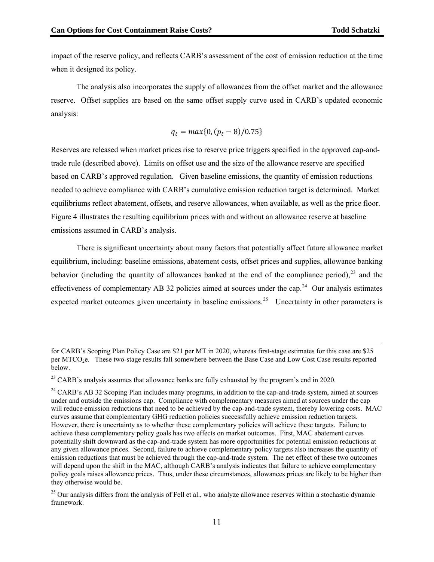$\overline{a}$ 

impact of the reserve policy, and reflects CARB's assessment of the cost of emission reduction at the time when it designed its policy.

The analysis also incorporates the supply of allowances from the offset market and the allowance reserve. Offset supplies are based on the same offset supply curve used in CARB's updated economic analysis:

$$
q_t = max\{0, (p_t - 8)/0.75\}
$$

needed to achieve compliance with CARB's cumulative emission reduction target is determined. Market equilibriums reflect abatement, offsets, and reserve allowances, when available, as well as the price floor. Figure 4 illustrates the resulting equilibrium prices with and without an allowance reserve at baseline emissio ns assumed in CARB's analysis. Reserves are released when market prices rise to reserve price triggers specified in the approved cap-andtrade rule (described above). Limits on offset use and the size of the allowance reserve are specified based on CARB's approved regulation. Given baseline emissions, the quantity of emission reductions

There is significant uncertainty about many factors that potentially affect future allowance market equilibrium, including: baseline emissions, abatement costs, offset prices and supplies, allowance banking behavior (including the quantity of allowances banked at the end of the compliance period), $^{23}$  $^{23}$  $^{23}$  and the effectiveness of complementary AB 32 policies aimed at sources under the cap.<sup>[24](#page-10-1)</sup> Our analysis estimates expected market outcomes given uncertainty in baseline emissions.<sup>[25](#page-10-2)</sup> Uncertainty in other parameters is

for CARB's Scoping Plan Policy Case are \$21 per MT in 2020, whereas first-stage estimates for this case are \$25 per MTCO<sub>2</sub>e. These two-stage results fall somewhere between the Base Case and Low Cost Case results reported below.

<sup>&</sup>lt;sup>23</sup> CARB's analysis assumes that allowance banks are fully exhausted by the program's end in 2020.

 $24$  CARB's AB 32 Scoping Plan includes many programs, in addition to the cap-and-trade system, aimed at sources However, there is uncertainty as to whether these complementary policies will achieve these targets. Failure to emission reductions that must be achieved through the cap-and-trade system. The net effect of these two outcomes will depend upon the shift in the MAC, although CARB's analysis indicates that failure to achieve complementary under and outside the emissions cap. Compliance with complementary measures aimed at sources under the cap will reduce emission reductions that need to be achieved by the cap-and-trade system, thereby lowering costs. MAC curves assume that complementary GHG reduction policies successfully achieve emission reduction targets. achieve these complementary policy goals has two effects on market outcomes. First, MAC abatement curves potentially shift downward as the cap-and-trade system has more opportunities for potential emission reductions at any given allowance prices. Second, failure to achieve complementary policy targets also increases the quantity of policy goals raises allowance prices. Thus, under these circumstances, allowances prices are likely to be higher than they otherwise would be.

framework. <sup>25</sup> Our analysis differs from the analysis of Fell et al., who analyze allowance reserves within a stochastic dynamic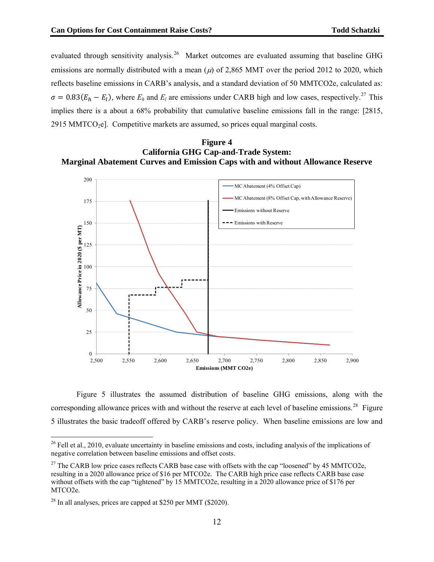evaluated through sensitivity analysis.<sup>26</sup> Market outcomes are evaluated assuming that baseline GHG reflects baseline emissions in CARB's analysis, and a standard deviation of 50 MMTCO2e, calculated as:  $\sigma = 0.83(E_h - E_l)$ , where  $E_h$  and  $E_l$  are emissions under CARB high and low cases, respectively.<sup>27</sup> This implies there is a about a 68% probability that cumulative baseline emissions fall in the range: [2815, emissions are normally distributed with a mean  $(\mu)$  of 2,865 MMT over the period 2012 to 2020, which 2915 MMTCO<sub>2</sub>e]. Competitive markets are assumed, so prices equal marginal costs.





corresponding allowance prices with and without the reserve at each level of baseline emissions.<sup>28</sup> Figure Figure 5 illustrates the assumed distribution of baseline GHG emissions, along with the 5 illustrates the basic tradeoff offered by CARB's reserve policy. When baseline emissions are low and

 $26$  Fell et al., 2010, evaluate uncertainty in baseline emissions and costs, including analysis of the implications of negative correlation between baseline emissions and offset costs.

<sup>&</sup>lt;sup>27</sup> The CARB low price cases reflects CARB base case with offsets with the cap "loosened" by 45 MMTCO2e, without offsets with the cap "tightened" by 15 MMTCO2e, resulting in a 2020 allowance price of \$176 per resulting in a 2020 allowance price of \$16 per MTCO2e. The CARB high price case reflects CARB base case MTCO2e.

 $^{28}$  In all analyses, prices are capped at \$250 per MMT (\$2020).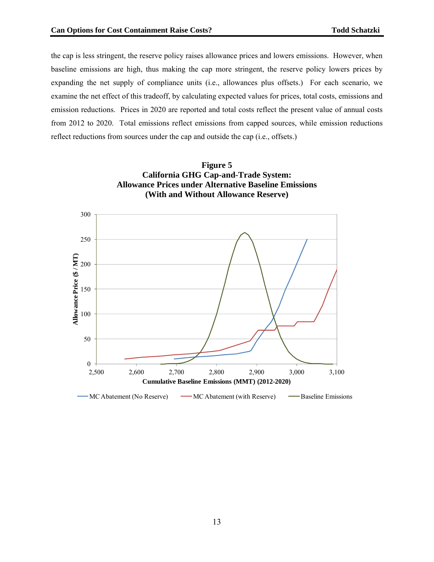the cap is less stringent, the reserve policy raises allowance prices and lowers emissions. However, when baseline emissions are high, thus making the cap more stringent, the reserve policy lowers prices by expanding the net supply of compliance units (i.e., allowances plus offsets.) For each scenario, we examine the net effect of this tradeoff, by calculating expected values for prices, total costs, emissions and emission reductions. Prices in 2020 are reported and total costs reflect the present value of annual costs from 2012 to 2020. Total emissions reflect emissions from capped sources, while emission reductions reflect reductions from sources under the cap and outside the cap (i.e., offsets.)



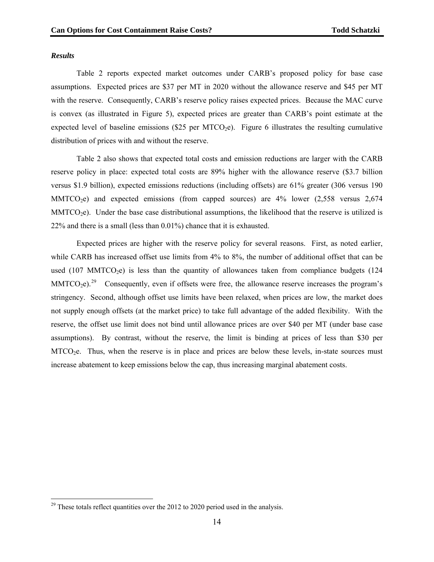#### *Results*

 $\overline{a}$ 

Table 2 reports expected market outcomes under CARB's proposed policy for base case assumptions. Expected prices are \$37 per MT in 2020 without the allowance reserve and \$45 per MT with the reserve. Consequently, CARB's reserve policy raises expected prices. Because the MAC curve is convex (as illustrated in Figure 5), expected prices are greater than CARB's point estimate at the expected level of baseline emissions (\$25 per MTCO<sub>2</sub>e). Figure 6 illustrates the resulting cumulative distribution of prices with and without the reserve.

Table 2 also shows that expected total costs and emission reductions are larger with the CARB reserve policy in place: expected total costs are 89% higher with the allowance reserve (\$3.7 billion versus \$1.9 billion), expected emissions reductions (including offsets) are 61% greater (306 versus 190  $MMTCO<sub>2</sub>e)$  and expected emissions (from capped sources) are 4% lower (2,558 versus 2,674  $MMTCO<sub>2</sub>e)$ . Under the base case distributional assumptions, the likelihood that the reserve is utilized is 22% and there is a small (less than 0.01%) chance that it is exhausted.

Expected prices are higher with the reserve policy for several reasons. First, as noted earlier, while CARB has increased offset use limits from 4% to 8%, the number of additional offset that can be used  $(107 \text{ MMTCO}_2)$  is less than the quantity of allowances taken from compliance budgets  $(124 \text{ A})$  $MMTCO<sub>2</sub>e)<sup>29</sup>$  Consequently, even if offsets were free, the allowance reserve increases the program's stringency. Second, although offset use limits have been relaxed, when prices are low, the market does not supply enough offsets (at the market price) to take full advantage of the added flexibility. With the reserve, the offset use limit does not bind until allowance prices are over \$40 per MT (under base case assumptions). By contrast, without the reserve, the limit is binding at prices of less than \$30 per  $MTCO<sub>2</sub>e$ . Thus, when the reserve is in place and prices are below these levels, in-state sources must increase abatement to keep emissions below the cap, thus increasing marginal abatement costs.

 $29$  These totals reflect quantities over the 2012 to 2020 period used in the analysis.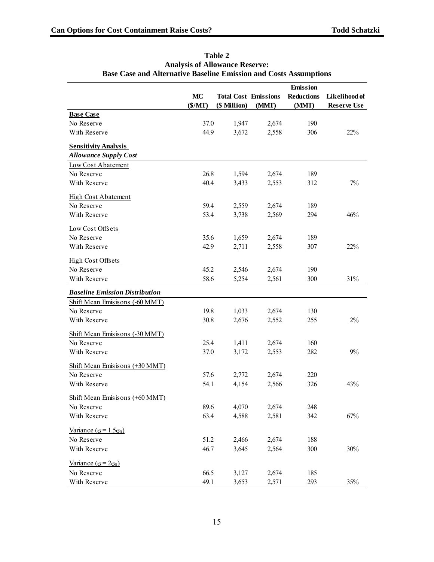|                                                   | MC<br>$(\$/MT)$ | <b>Total Cost Emissions</b><br>(\$ Million) | (MMT) | Emission<br><b>Reductions</b><br>(MMT) | Likelihood of<br><b>Reserve Use</b> |
|---------------------------------------------------|-----------------|---------------------------------------------|-------|----------------------------------------|-------------------------------------|
| <b>Base Case</b>                                  |                 |                                             |       |                                        |                                     |
| No Reserve                                        | 37.0            | 1,947                                       | 2,674 | 190                                    |                                     |
| With Reserve                                      | 44.9            | 3,672                                       | 2,558 | 306                                    | 22%                                 |
| <b>Sensitivity Analysis</b>                       |                 |                                             |       |                                        |                                     |
| <b>Allowance Supply Cost</b>                      |                 |                                             |       |                                        |                                     |
| Low Cost Abatement                                |                 |                                             |       |                                        |                                     |
| No Reserve                                        | 26.8            | 1,594                                       | 2,674 | 189                                    |                                     |
| With Reserve                                      | 40.4            | 3,433                                       | 2,553 | 312                                    | 7%                                  |
| <b>High Cost Abatement</b>                        |                 |                                             |       |                                        |                                     |
| No Reserve                                        | 59.4            | 2,559                                       | 2,674 | 189                                    |                                     |
| With Reserve                                      | 53.4            | 3,738                                       | 2,569 | 294                                    | 46%                                 |
| Low Cost Offsets                                  |                 |                                             |       |                                        |                                     |
| No Reserve                                        | 35.6            | 1,659                                       | 2,674 | 189                                    |                                     |
| With Reserve                                      | 42.9            | 2,711                                       | 2,558 | 307                                    | 22%                                 |
| <b>High Cost Offsets</b>                          |                 |                                             |       |                                        |                                     |
| No Reserve                                        | 45.2            | 2,546                                       | 2,674 | 190                                    |                                     |
| With Reserve                                      | 58.6            | 5,254                                       | 2,561 | 300                                    | 31%                                 |
| <b>Baseline Emission Distribution</b>             |                 |                                             |       |                                        |                                     |
| Shift Mean Emisisons (-60 MMT)                    |                 |                                             |       |                                        |                                     |
| No Reserve                                        | 19.8            | 1,033                                       | 2,674 | 130                                    |                                     |
| With Reserve                                      | 30.8            | 2,676                                       | 2,552 | 255                                    | 2%                                  |
| Shift Mean Emisisons (-30 MMT)                    |                 |                                             |       |                                        |                                     |
| No Reserve                                        | 25.4            | 1,411                                       | 2,674 | 160                                    |                                     |
| With Reserve                                      | 37.0            | 3,172                                       | 2,553 | 282                                    | 9%                                  |
| Shift Mean Emisisons (+30 MMT)                    |                 |                                             |       |                                        |                                     |
| No Reserve                                        | 57.6            | 2,772                                       | 2,674 | 220                                    |                                     |
| With Reserve                                      | 54.1            | 4,154                                       | 2,566 | 326                                    | 43%                                 |
| Shift Mean Emisisons (+60 MMT)                    |                 |                                             |       |                                        |                                     |
| No Reserve                                        | 89.6            | 4,070                                       | 2,674 | 248                                    |                                     |
| With Reserve                                      | 63.4            | 4,588                                       | 2,581 | 342                                    | 67%                                 |
| Variance ( $\sigma$ = 1.5 $\sigma$ <sub>0</sub> ) |                 |                                             |       |                                        |                                     |
| No Reserve                                        | 51.2            | 2,466                                       | 2,674 | 188                                    |                                     |
| With Reserve                                      | 46.7            | 3,645                                       | 2,564 | 300                                    | 30%                                 |
| Variance ( $\sigma$ = 2 $\sigma$ <sub>0</sub> )   |                 |                                             |       |                                        |                                     |
| No Reserve                                        | 66.5            | 3,127                                       | 2,674 | 185                                    |                                     |
| With Reserve                                      | 49.1            | 3,653                                       | 2,571 | 293                                    | 35%                                 |

**Table 2 Analysis of Allowance Reserve: Base Case and Alternative Baseline Emission and Costs Assumptions**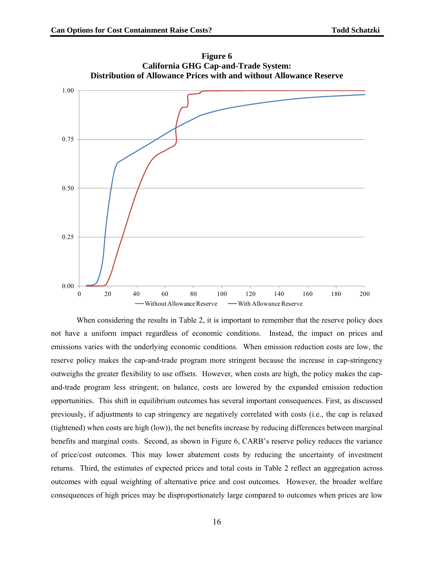

**F igure 6 California GHG Cap-and-Trade System:** 

When considering the results in Table 2, it is important to remember that the reserve policy does not have a uniform impact regardless of economic conditions. Instead, the impact on prices and emissions varies with the underlying economic conditions. When emission reduction costs are low, the reserve policy makes the cap-and-trade program more stringent because the increase in cap-stringency outweighs the greater flexibility to use offsets. However, when costs are high, the policy makes the capand-trade program less stringent; on balance, costs are lowered by the expanded emission reduction opportunities. This shift in equilibrium outcomes has several important consequences. First, as discussed previously, if adjustments to cap stringency are negatively correlated with costs (i.e., the cap is relaxed (tightened) when costs are high (low)), the net benefits increase by reducing differences between marginal benefits and marginal costs. Second, as shown in Figure 6, CARB's reserve policy reduces the variance of price/cost outcomes. This may lower abatement costs by reducing the uncertainty of investment returns. Third, the estimates of expected prices and total costs in Table 2 reflect an aggregation across outcomes with equal weighting of alternative price and cost outcomes. However, the broader welfare consequences of high prices may be disproportionately large compared to outcomes when prices are low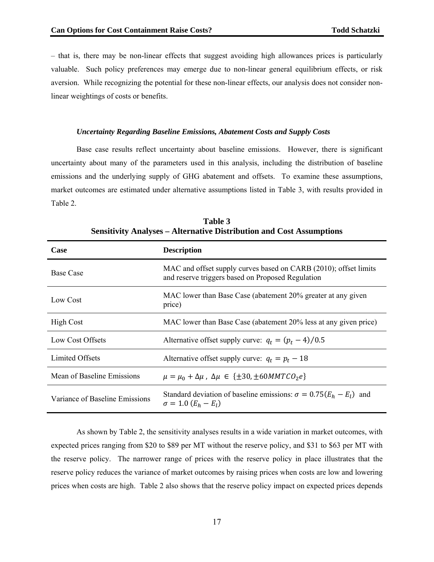- that is, there may be non-linear effects that suggest avoiding high allowances prices is particularly valuable. Such policy preferences may emerge due to non-linear general equilibrium effects, or risk aversion. While recognizing the potential for these non-linear effects, our analysis does not consider nonlinear weightings of costs or benefits.

#### *Uncertainty Regarding Baseline Emissions, Abatement Costs and Supply Costs*

Base case results reflect uncertainty about baseline emissions. However, there is significant uncertainty about many of the parameters used in this analysis, including the distribution of baseline emissions and the underlying supply of GHG abatement and offsets. To examine these assumptions, market outcomes are estimated under alternative assumptions listed in Table 3, with results provided in Table 2.

| Case                           | <b>Description</b>                                                                                                    |
|--------------------------------|-----------------------------------------------------------------------------------------------------------------------|
| <b>Base Case</b>               | MAC and offset supply curves based on CARB (2010); offset limits<br>and reserve triggers based on Proposed Regulation |
| Low Cost                       | MAC lower than Base Case (abatement 20% greater at any given<br>price)                                                |
| <b>High Cost</b>               | MAC lower than Base Case (abatement 20% less at any given price)                                                      |
| Low Cost Offsets               | Alternative offset supply curve: $q_t = (p_t - 4)/0.5$                                                                |
| Limited Offsets                | Alternative offset supply curve: $q_t = p_t - 18$                                                                     |
| Mean of Baseline Emissions     | $\mu = \mu_0 + \Delta \mu$ , $\Delta \mu \in {\pm 30, \pm 60} M M T C O_2 e$                                          |
| Variance of Baseline Emissions | Standard deviation of baseline emissions: $\sigma = 0.75(E_h - E_l)$ and<br>$\sigma = 1.0 (E_h - E_l)$                |

**Table 3 Sensitivity Analyses – Alternative Distribution and Cost Assumptions** 

As shown by Table 2, the sensitivity analyses results in a wide variation in market outcomes, with expected prices ranging from \$20 to \$89 per MT without the reserve policy, and \$31 to \$63 per MT with the reserve policy. The narrower range of prices with the reserve policy in place illustrates that the reserve policy reduces the variance of market outcomes by raising prices when costs are low and lowering prices when costs are high. Table 2 also shows that the reserve policy impact on expected prices depends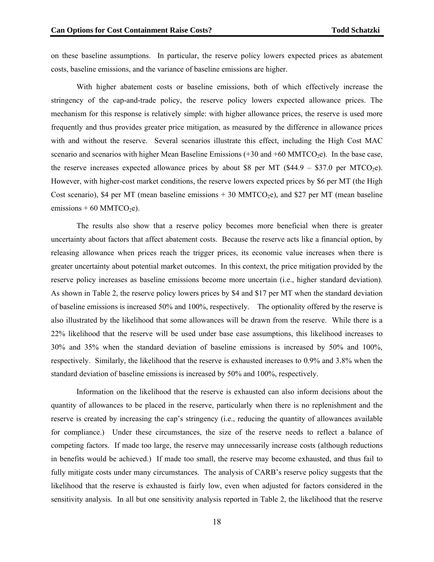on these baseline assumptions. In particular, the reserve policy lowers expected prices as abatement costs, baseline emissions, and the variance of baseline emissions are higher.

With higher abatement costs or baseline emissions, both of which effectively increase the stringency of the cap-and-trade policy, the reserve policy lowers expected allowance prices. The mechanism for this response is relatively simple: with higher allowance prices, the reserve is used more frequently and thus provides greater price mitigation, as measured by the difference in allowance prices with and without the reserve. Several scenarios illustrate this effect, including the High Cost MAC scenario and scenarios with higher Mean Baseline Emissions  $(+30 \text{ and } +60 \text{ MMTCO}_2e)$ . In the base case, emissions  $+ 60$  MMTCO<sub>2</sub>e). the reserve increases expected allowance prices by about \$8 per MT (\$44.9 – \$37.0 per MTCO<sub>2</sub>e). However, with higher-cost market conditions, the reserve lowers expected prices by \$6 per MT (the High Cost scenario), \$4 per MT (mean baseline emissions  $+30$  MMTCO<sub>2</sub>e), and \$27 per MT (mean baseline

The results also show that a reserve policy becomes more beneficial when there is greater uncertainty about factors that affect abatement costs. Because the reserve acts like a financial option, by releasing allowance when prices reach the trigger prices, its economic value increases when there is greater uncertainty about potential market outcomes. In this context, the price mitigation provided by the reserve policy increases as baseline emissions become more uncertain (i.e., higher standard deviation). As shown in Table 2, the reserve policy lowers prices by \$4 and \$17 per MT when the standard deviation of baseline emissions is increased 50% and 100%, respectively. The optionality offered by the reserve is also illustrated by the likelihood that some allowances will be drawn from the reserve. While there is a 22% likelihood that the reserve will be used under base case assumptions, this likelihood increases to respectively. Similarly, the likelihood that the reserve is exhausted increases to 0.9% and 3.8% when the standard deviation of baseline emissions is increased by 50% and 100%, respectively. 30% and 35% when the standard deviation of baseline emissions is increased by 50% and 100%,

Information on the likelihood that the reserve is exhausted can also inform decisions about the quantity of allowances to be placed in the reserve, particularly when there is no replenishment and the reserve is created by increasing the cap's stringency (i.e., reducing the quantity of allowances available for com pliance.) Under these circumstances, the size of the reserve needs to reflect a balance of sensitivity analysis. In all but one sensitivity analysis reported in Table 2, the likelihood that the reserve competing factors. If made too large, the reserve may unnecessarily increase costs (although reductions in benefits would be achieved.) If made too small, the reserve may become exhausted, and thus fail to fully mitigate costs under many circumstances. The analysis of CARB's reserve policy suggests that the likelihood that the reserve is exhausted is fairly low, even when adjusted for factors considered in the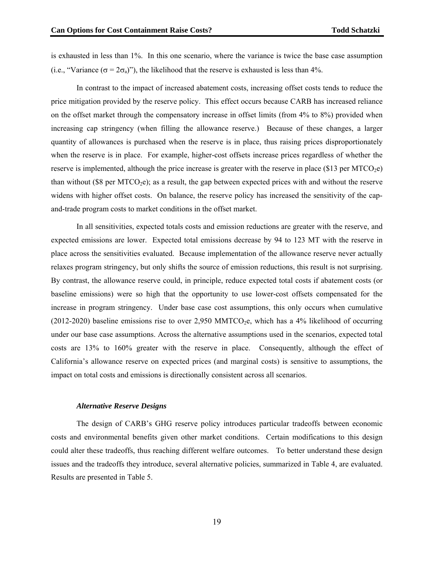is exhausted in less than 1%. In this one scenario, where the variance is twice the base case assumption (i.e., "Variance ( $\sigma = 2\sigma_a$ )"), the likelihood that the reserve is exhausted is less than 4%.

and-trade program costs to market conditions in the offset market. In contrast to the impact of increased abatement costs, increasing offset costs tends to reduce the price mitigation provided by the reserve policy. This effect occurs because CARB has increased reliance on the offset market through the compensatory increase in offset limits (from 4% to 8%) provided when increasing cap stringency (when filling the allowance reserve.) Because of these changes, a larger quantity of allowances is purchased when the reserve is in place, thus raising prices disproportionately when the reserve is in place. For example, higher-cost offsets increase prices regardless of whether the reserve is implemented, although the price increase is greater with the reserve in place (\$13 per MTCO<sub>2</sub>e) than without (\$8 per MTCO<sub>2</sub>e); as a result, the gap between expected prices with and without the reserve widens with higher offset costs. On balance, the reserve policy has increased the sensitivity of the cap-

In all sensitivities, expected totals costs and emission reductions are greater with the reserve, and expected emissions are lower. Expected total emissions decrease by 94 to 123 MT with the reserve in place across the sensitivities evaluated. Because implementation of the allowance reserve never actually relaxes program stringency, but only shifts the source of emission reductions, this result is not surprising. By contrast, the allowance reserve could, in principle, reduce expected total costs if abatement costs (or baseline emissions) were so high that the opportunity to use lower-cost offsets compensated for the increase in program stringency. Under base case cost assumptions, this only occurs when cumulative  $(2012-2020)$  baseline emissions rise to over 2,950 MMTCO<sub>2</sub>e, which has a 4% likelihood of occurring under our base case assumptions. Across the alternative assumptions used in the scenarios, expected total costs are 13% to 160% greater with the reserve in place. Consequently, although the effect of California's allowance reserve on expected prices (and marginal costs) is sensitive to assumptions, the impact on total costs and emissions is directionally consistent across all scenarios.

#### *Alternative Reserve Designs*

The design of CARB's GHG reserve policy introduces particular tradeoffs between economic costs and environmental benefits given other market conditions. Certain modifications to this design could alter these tradeoffs, thus reaching different welfare outcomes. To better understand these design issues and the tradeoffs they introduce, several alternative policies, summarized in Table 4, are evaluated. Results are presented in Table 5.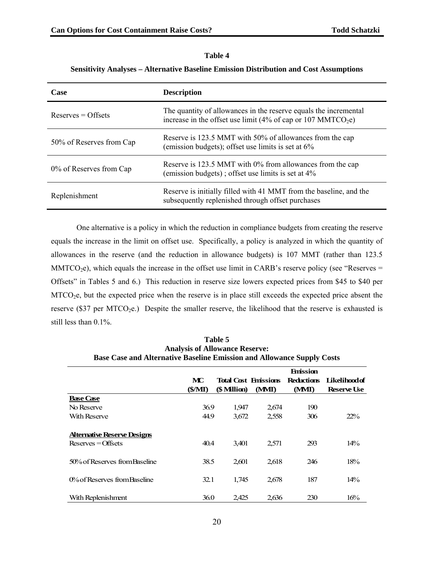# **Table 4**

# **Sensitivity Analyses – Alternative Baseline Emission Distribution and Cost Assumptions**

| Case                     | <b>Description</b>                                                                                                                           |
|--------------------------|----------------------------------------------------------------------------------------------------------------------------------------------|
| $Reserves = Offsets$     | The quantity of allowances in the reserve equals the incremental<br>increase in the offset use limit (4% of cap or 107 MMTCO <sub>2</sub> e) |
| 50% of Reserves from Cap | Reserve is 123.5 MMT with 50% of allowances from the cap<br>(emission budgets); offset use limits is set at $6\%$                            |
| 0% of Reserves from Cap  | Reserve is 123.5 MMT with 0% from allowances from the cap<br>(emission budgets); offset use limits is set at $4\%$                           |
| Replenishment            | Reserve is initially filled with 41 MMT from the baseline, and the<br>subsequently replenished through offset purchases                      |

One alternative is a policy in which the reduction in compliance budgets from creating the reserve equals the increase in the limit on offset use. Specifically, a policy is analyzed in which the quantity of allowances in the reserve (and the reduction in allowance budgets) is 107 MMT (rather than 123.5  $MMTCO<sub>2</sub>e$ ), which equals the increase in the offset use limit in CARB's reserve policy (see "Reserves = Offsets" in Tables 5 and 6.) This reduction in reserve size lowers expected prices from \$45 to \$40 per MTCO2e, but the expected price when the reserve is in place still exceeds the expected price absent the reserve ( $$37$  per MTCO<sub>2</sub>e.) Despite the smaller reserve, the likelihood that the reserve is exhausted is still less than 0.1%.

| <b>Analysis of Allowance Reserve:</b><br><b>Base Case and Alternative Baseline Emission and Allowance Supply Costs</b> |              |                |                                      |                                               |                                            |  |
|------------------------------------------------------------------------------------------------------------------------|--------------|----------------|--------------------------------------|-----------------------------------------------|--------------------------------------------|--|
|                                                                                                                        | MC<br>(S/MI) | (\$ Million)   | <b>Total Cost Emissions</b><br>(MMI) | <b>Emission</b><br><b>Reductions</b><br>(MMI) | <b>Likelihood of</b><br><b>Reserve Use</b> |  |
| <b>Base Case</b><br>No Reserve<br>With Reserve                                                                         | 36.9<br>44.9 | 1,947<br>3.672 | 2,674<br>2,558                       | 190<br>306                                    | 22%                                        |  |
| Alternative Reserve Designs<br>$Reserves = Offsets$                                                                    | 40.4         | 3,401          | 2,571                                | 293                                           | $14\%$                                     |  |
| 50% of Reserves from Baseline                                                                                          | 38.5         | 2,601          | 2.618                                | 246                                           | 18%                                        |  |
| 0% of Reserves from Baseline                                                                                           | 32.1         | 1,745          | 2,678                                | 187                                           | 14%                                        |  |
| With Replenishment                                                                                                     | 36.0         | 2,425          | 2,636                                | 230                                           | 16%                                        |  |

| <b>Table 5</b>                                                               |
|------------------------------------------------------------------------------|
| <b>Analysis of Allowance Reserve:</b>                                        |
| <b>Base Case and Alternative Baseline Emission and Allowance Supply Cost</b> |
|                                                                              |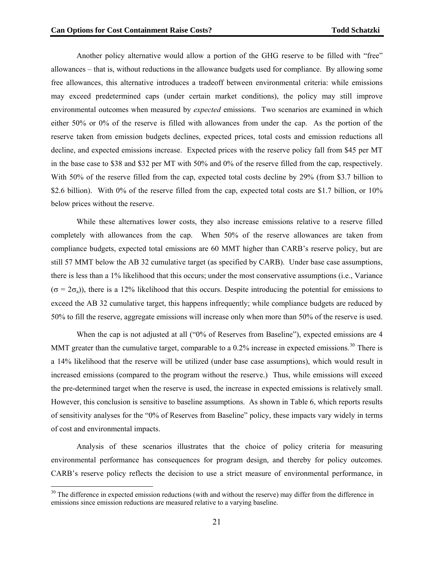Another policy alternative would allow a portion of the GHG reserve to be filled with "free" allowances – that is, without reductions in the allowance budgets used for compliance. By allowing some free allowances, this alternative introduces a tradeoff between environmental criteria: while emissions may exceed predetermined caps (under certain market conditions), the policy may still improve environmental outcomes when measured by *expected* emissions. Two scenarios are examined in which either  $50\%$  or  $0\%$  of the reserve is filled with allowances from under the cap. As the portion of the reserve taken from emission budgets declines, expected prices, total costs and emission reductions all decline, and expected emissions increase. Expected prices with the reserve policy fall from \$45 per MT in the base case to \$38 and \$32 per MT with 50% and 0% of the reserve filled from the cap, respectively. With 50% of the reserve filled from the cap, expected total costs decline by 29% (from \$3.7 billion to \$2.6 billion). With 0% of the reserve filled from the cap, expected total costs are \$1.7 billion, or 10% below prices without the reserve.

50% to fill the reserve, aggregate emissions will increase only when more than 50% of the reserve is used. While these alternatives lower costs, they also increase emissions relative to a reserve filled completely with allowances from the cap. When 50% of the reserve allowances are taken from compliance budgets, expected total emissions are 60 MMT higher than CARB's reserve policy, but are still 57 MMT below the AB 32 cumulative target (as specified by CARB). Under base case assumptions, there is less than a 1% likelihood that this occurs; under the most conservative assumptions (i.e., Variance  $(\sigma = 2\sigma_a)$ ), there is a 12% likelihood that this occurs. Despite introducing the potential for emissions to exceed the AB 32 cumulative target, this happens infrequently; while compliance budgets are reduced by

When the cap is not adjusted at all ("0% of Reserves from Baseline"), expected emissions are 4 MMT greater than the cumulative target, comparable to a 0.2% increase in expected emissions.<sup>30</sup> There is a 14% likelihood that the reserve will be utilized (under base case assumptions), which would result in increased emissions (compared to the program without the reserve.) Thus, while emissions will exceed the pre-determined target when the reserve is used, the increase in expected emissions is relatively small. However, this conclusion is sensitive to baseline assumptions. As shown in Table 6, which reports results of sensitivity analyses for the "0% of Reserves from Baseline" policy, these impacts vary widely in terms of cost and environmental impacts.

Analysis of these scenarios illustrates that the choice of policy criteria for measuring environmental performance has consequences for program design, and thereby for policy outcomes. CARB's reserve policy reflects the decision to use a strict measure of environmental performance, in

 $30$  The difference in expected emission reductions (with and without the reserve) may differ from the difference in emissions since emission reductions are measured relative to a varying baseline.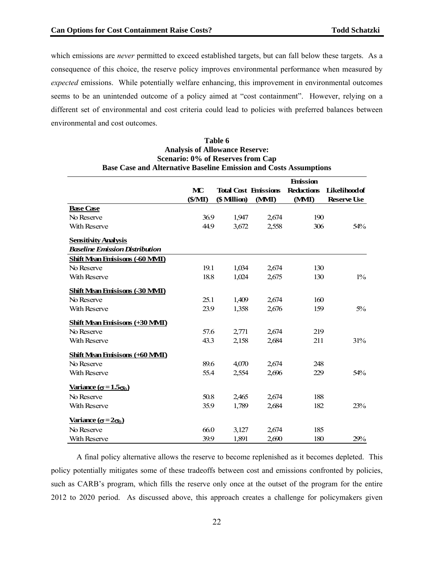which e missions are *never* permitted to exceed established targets, but can fall below these targets. As a consequence of this choice, the reserve policy improves environmental performance when measured by *expected* emissions. While potentially welfare enhancing, this improvement in environmental outcomes seems to be an unintended outcome of a policy aimed at "cost containment". However, relying on a different set of environmental and cost criteria could lead to policies with preferred balances between environmental and cost outcomes.

# **Table 6 Analysis of Allowance Reserve: Scenario: 0% of Reserves from Cap Base Case and Alternative Baseline Emission and Costs Assumptions**

|                                                       |        |                             |       | <b>Emission</b>   |                      |
|-------------------------------------------------------|--------|-----------------------------|-------|-------------------|----------------------|
|                                                       | MC     | <b>Total Cost Emissions</b> |       | <b>Reductions</b> | <b>Likelihood of</b> |
|                                                       | (S/MI) | (\$ Million)                | (MMI) | (MMI)             | <b>Reserve Use</b>   |
| <b>Base Case</b>                                      |        |                             |       |                   |                      |
| No Reserve                                            | 36.9   | 1,947                       | 2,674 | 190               |                      |
| <b>With Reserve</b>                                   | 44.9   | 3,672                       | 2,558 | 306               | 54%                  |
| <b>Sensitivity Analysis</b>                           |        |                             |       |                   |                      |
| <b>Baseline Emission Distribution</b>                 |        |                             |       |                   |                      |
| <b>Shift Mean Finisisons (-60 MMI)</b>                |        |                             |       |                   |                      |
| No Reserve                                            | 19.1   | 1,034                       | 2.674 | 130               |                      |
| <b>With Reserve</b>                                   | 18.8   | 1,024                       | 2,675 | 130               | $1\%$                |
| Shift Mean Emisisons (-30 MMI)                        |        |                             |       |                   |                      |
| No Reserve                                            | 25.1   | 1,409                       | 2,674 | 160               |                      |
| <b>With Reserve</b>                                   | 23.9   | 1,358                       | 2,676 | 159               | $5\%$                |
| <b>Shift Mean Emisisons (+30 MMI)</b>                 |        |                             |       |                   |                      |
| No Reserve                                            | 57.6   | 2,771                       | 2,674 | 219               |                      |
| <b>With Reserve</b>                                   | 43.3   | 2,158                       | 2,684 | 211               | 31%                  |
| <b>Shift Mean Emisisons (+60 MMI)</b>                 |        |                             |       |                   |                      |
| No Reserve                                            | 89.6   | 4,070                       | 2,674 | 248               |                      |
| <b>With Reserve</b>                                   | 55.4   | 2,554                       | 2,696 | 229               | 54%                  |
| Variance $(\sigma = 1.5\sigma_0)$                     |        |                             |       |                   |                      |
| No Reserve                                            | 50.8   | 2,465                       | 2,674 | 188               |                      |
| With Reserve                                          | 35.9   | 1,789                       | 2,684 | 182               | 23%                  |
| <u>Variance</u> ( $\sigma$ =2 $\sigma$ <sub>0</sub> ) |        |                             |       |                   |                      |
| No Reserve                                            | 66.0   | 3,127                       | 2,674 | 185               |                      |
| <b>With Reserve</b>                                   | 39.9   | 1,891                       | 2,690 | 180               | 29%                  |

such as CARB's program, which fills the reserve only once at the outset of the program for the entire 2012 to 2020 period. As discussed above, this approach creates a challenge for policymakers given A final policy alternative allows the reserve to become replenished as it becomes depleted. This policy potentially mitigates some of these tradeoffs between cost and emissions confronted by policies,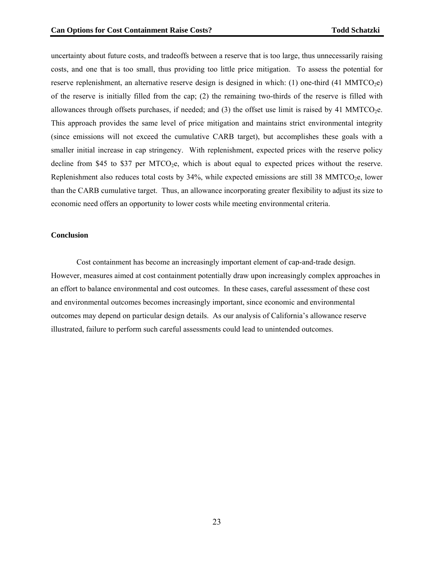uncertainty about future costs, and tradeoffs between a reserve that is too large, thus unnecessarily raising costs, and one that is too small, thus providing too little price mitigation. To assess the potential for reserve replenishment, an alternative reserve design is designed in which: (1) one-third (41 MMTCO<sub>2</sub>e) of the reserve is initially filled from the cap; (2) the remaining two-thirds of the reserve is filled with allowances through offsets purchases, if needed; and  $(3)$  the offset use limit is raised by 41 MMTCO<sub>2</sub>e. This approach provides the same level of price mitigation and maintains strict environmental integrity (since emissions will not exceed the cumulative CARB target), but accomplishes these goals with a smaller initial increase in cap stringency. With replenishment, expected prices with the reserve policy decline from \$45 to \$37 per MTCO<sub>2</sub>e, which is about equal to expected prices without the reserve. Replenishment also reduces total costs by  $34\%$ , while expected emissions are still 38 MMTCO<sub>2</sub>e, lower than the CARB cumulative target. Thus, an allowance incorporating greater flexibility to adjust its size to economic need offers an opportunity to lower costs while meeting environmental criteria.

# **Conclusion**

 Cost containment has become an increasingly important element of cap-and-trade design. However, measures aimed at cost containment potentially draw upon increasingly complex approaches in an effort to balance environmental and cost outcomes. In these cases, careful assessment of these cost and environmental outcomes becomes increasingly important, since economic and environmental outcomes may depend on particular design details. As our analysis of California's allowance reserve illustrated, failure to perform such careful assessments could lead to unintended outcomes.